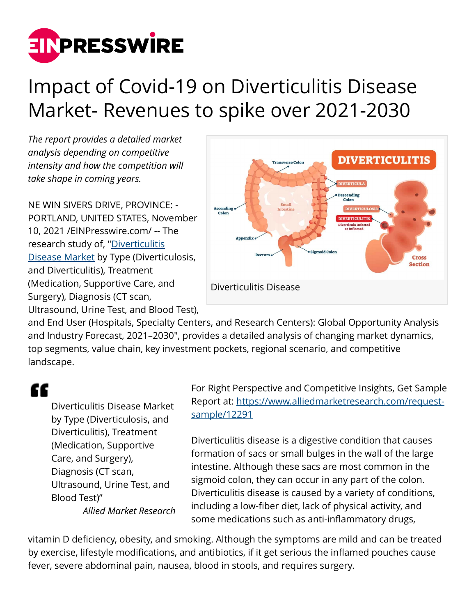

## Impact of Covid-19 on Diverticulitis Disease Market- Revenues to spike over 2021-2030

*The report provides a detailed market analysis depending on competitive intensity and how the competition will take shape in coming years.*

NE WIN SIVERS DRIVE, PROVINCE: - PORTLAND, UNITED STATES, November 10, 2021 /[EINPresswire.com/](http://www.einpresswire.com) -- The research study of, ["Diverticulitis](https://www.alliedmarketresearch.com/diverticulitis-disease-market-A11926) [Disease Market](https://www.alliedmarketresearch.com/diverticulitis-disease-market-A11926) by Type (Diverticulosis, and Diverticulitis), Treatment (Medication, Supportive Care, and Surgery), Diagnosis (CT scan, Ultrasound, Urine Test, and Blood Test),



and End User (Hospitals, Specialty Centers, and Research Centers): Global Opportunity Analysis and Industry Forecast, 2021–2030", provides a detailed analysis of changing market dynamics, top segments, value chain, key investment pockets, regional scenario, and competitive landscape.

## "

Diverticulitis Disease Market by Type (Diverticulosis, and Diverticulitis), Treatment (Medication, Supportive Care, and Surgery), Diagnosis (CT scan, Ultrasound, Urine Test, and Blood Test)" *Allied Market Research* For Right Perspective and Competitive Insights, Get Sample Report at: [https://www.alliedmarketresearch.com/request](https://www.alliedmarketresearch.com/request-sample/12291)[sample/12291](https://www.alliedmarketresearch.com/request-sample/12291)

Diverticulitis disease is a digestive condition that causes formation of sacs or small bulges in the wall of the large intestine. Although these sacs are most common in the sigmoid colon, they can occur in any part of the colon. Diverticulitis disease is caused by a variety of conditions, including a low-fiber diet, lack of physical activity, and some medications such as anti-inflammatory drugs,

vitamin D deficiency, obesity, and smoking. Although the symptoms are mild and can be treated by exercise, lifestyle modifications, and antibiotics, if it get serious the inflamed pouches cause fever, severe abdominal pain, nausea, blood in stools, and requires surgery.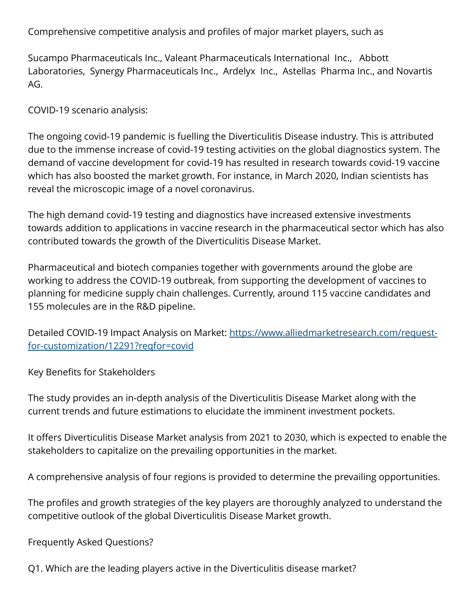Comprehensive competitive analysis and profiles of major market players, such as

Sucampo Pharmaceuticals Inc., Valeant Pharmaceuticals International Inc., Abbott Laboratories, Synergy Pharmaceuticals Inc., Ardelyx Inc., Astellas Pharma Inc., and Novartis AG.

COVID-19 scenario analysis:

The ongoing covid-19 pandemic is fuelling the Diverticulitis Disease industry. This is attributed due to the immense increase of covid-19 testing activities on the global diagnostics system. The demand of vaccine development for covid-19 has resulted in research towards covid-19 vaccine which has also boosted the market growth. For instance, in March 2020, Indian scientists has reveal the microscopic image of a novel coronavirus.

The high demand covid-19 testing and diagnostics have increased extensive investments towards addition to applications in vaccine research in the pharmaceutical sector which has also contributed towards the growth of the Diverticulitis Disease Market.

Pharmaceutical and biotech companies together with governments around the globe are working to address the COVID-19 outbreak, from supporting the development of vaccines to planning for medicine supply chain challenges. Currently, around 115 vaccine candidates and 155 molecules are in the R&D pipeline.

Detailed COVID-19 Impact Analysis on Market: [https://www.alliedmarketresearch.com/request](https://www.alliedmarketresearch.com/request-for-customization/12291?reqfor=covid)[for-customization/12291?reqfor=covid](https://www.alliedmarketresearch.com/request-for-customization/12291?reqfor=covid)

Key Benefits for Stakeholders

The study provides an in-depth analysis of the Diverticulitis Disease Market along with the current trends and future estimations to elucidate the imminent investment pockets.

It offers Diverticulitis Disease Market analysis from 2021 to 2030, which is expected to enable the stakeholders to capitalize on the prevailing opportunities in the market.

A comprehensive analysis of four regions is provided to determine the prevailing opportunities.

The profiles and growth strategies of the key players are thoroughly analyzed to understand the competitive outlook of the global Diverticulitis Disease Market growth.

Frequently Asked Questions?

Q1. Which are the leading players active in the Diverticulitis disease market?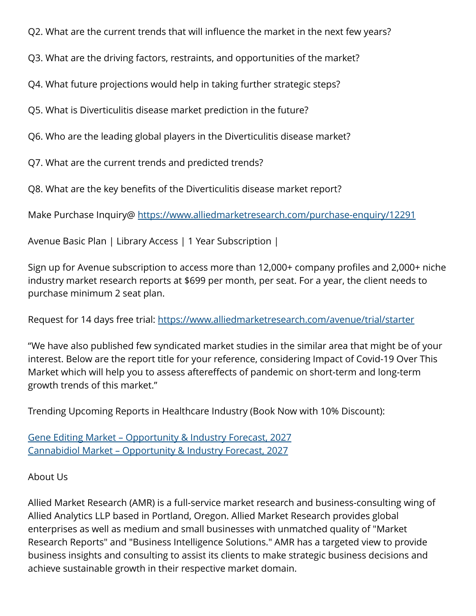Q2. What are the current trends that will influence the market in the next few years?

Q3. What are the driving factors, restraints, and opportunities of the market?

Q4. What future projections would help in taking further strategic steps?

Q5. What is Diverticulitis disease market prediction in the future?

Q6. Who are the leading global players in the Diverticulitis disease market?

Q7. What are the current trends and predicted trends?

Q8. What are the key benefits of the Diverticulitis disease market report?

Make Purchase Inquiry@<https://www.alliedmarketresearch.com/purchase-enquiry/12291>

Avenue Basic Plan | Library Access | 1 Year Subscription |

Sign up for Avenue subscription to access more than 12,000+ company profiles and 2,000+ niche industry market research reports at \$699 per month, per seat. For a year, the client needs to purchase minimum 2 seat plan.

Request for 14 days free trial:<https://www.alliedmarketresearch.com/avenue/trial/starter>

"We have also published few syndicated market studies in the similar area that might be of your interest. Below are the report title for your reference, considering Impact of Covid-19 Over This Market which will help you to assess aftereffects of pandemic on short-term and long-term growth trends of this market."

Trending Upcoming Reports in Healthcare Industry (Book Now with 10% Discount):

[Gene Editing Market – Opportunity & Industry Forecast, 2027](https://www.alliedmarketresearch.com/gene-editing-market-A10973) [Cannabidiol Market – Opportunity & Industry Forecast, 2027](https://www.alliedmarketresearch.com/cannabidiol-market-A11181)

About Us

Allied Market Research (AMR) is a full-service market research and business-consulting wing of Allied Analytics LLP based in Portland, Oregon. Allied Market Research provides global enterprises as well as medium and small businesses with unmatched quality of "Market Research Reports" and "Business Intelligence Solutions." AMR has a targeted view to provide business insights and consulting to assist its clients to make strategic business decisions and achieve sustainable growth in their respective market domain.